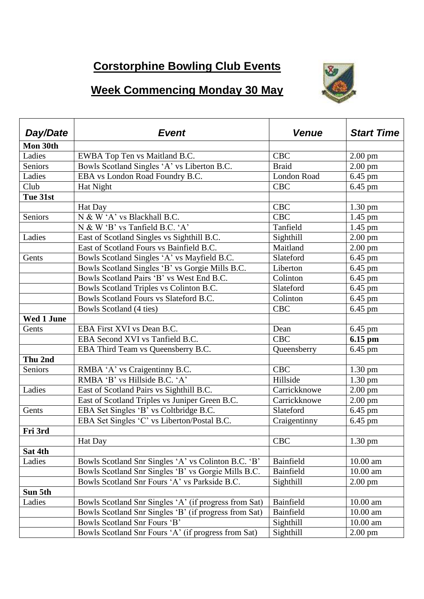## **Corstorphine Bowling Club Events**

## **Week Commencing Monday 30 May**



| Day/Date          | <b>Event</b>                                          | <b>Venue</b> | <b>Start Time</b> |
|-------------------|-------------------------------------------------------|--------------|-------------------|
| Mon 30th          |                                                       |              |                   |
| Ladies            | EWBA Top Ten vs Maitland B.C.                         | <b>CBC</b>   | $2.00$ pm         |
| Seniors           | Bowls Scotland Singles 'A' vs Liberton B.C.           | <b>Braid</b> | $2.00$ pm         |
| Ladies            | EBA vs London Road Foundry B.C.                       | London Road  | 6.45 pm           |
| Club              | Hat Night                                             | <b>CBC</b>   | $6.45$ pm         |
| Tue 31st          |                                                       |              |                   |
|                   | Hat Day                                               | <b>CBC</b>   | $1.30 \text{ pm}$ |
| Seniors           | N & W 'A' vs Blackhall B.C.                           | <b>CBC</b>   | $1.45$ pm         |
|                   | N & W 'B' vs Tanfield B.C. 'A'                        | Tanfield     | $1.45$ pm         |
| Ladies            | East of Scotland Singles vs Sighthill B.C.            | Sighthill    | $2.00$ pm         |
|                   | East of Scotland Fours vs Bainfield B.C.              | Maitland     | $2.00$ pm         |
| Gents             | Bowls Scotland Singles 'A' vs Mayfield B.C.           | Slateford    | $6.45$ pm         |
|                   | Bowls Scotland Singles 'B' vs Gorgie Mills B.C.       | Liberton     | $6.45$ pm         |
|                   | Bowls Scotland Pairs 'B' vs West End B.C.             | Colinton     | 6.45 pm           |
|                   | Bowls Scotland Triples vs Colinton B.C.               | Slateford    | 6.45 pm           |
|                   | Bowls Scotland Fours vs Slateford B.C.                | Colinton     | $6.45$ pm         |
|                   | Bowls Scotland (4 ties)                               | <b>CBC</b>   | 6.45 pm           |
| <b>Wed 1 June</b> |                                                       |              |                   |
| Gents             | EBA First XVI vs Dean B.C.                            | Dean         | 6.45 pm           |
|                   | EBA Second XVI vs Tanfield B.C.                       | <b>CBC</b>   | 6.15 pm           |
|                   | EBA Third Team vs Queensberry B.C.                    | Queensberry  | $6.45$ pm         |
| Thu 2nd           |                                                       |              |                   |
| Seniors           | RMBA 'A' vs Craigentinny B.C.                         | <b>CBC</b>   | $1.30 \text{ pm}$ |
|                   | RMBA 'B' vs Hillside B.C. 'A'                         | Hillside     | $1.30 \text{ pm}$ |
| Ladies            | East of Scotland Pairs vs Sighthill B.C.              | Carrickknowe | $2.00$ pm         |
|                   | East of Scotland Triples vs Juniper Green B.C.        | Carrickknowe | $2.00$ pm         |
| Gents             | EBA Set Singles 'B' vs Coltbridge B.C.                | Slateford    | $6.45$ pm         |
|                   | EBA Set Singles 'C' vs Liberton/Postal B.C.           | Craigentinny | 6.45 pm           |
| Fri 3rd           |                                                       |              |                   |
|                   | <b>Hat Day</b>                                        | <b>CBC</b>   | $1.30 \text{ pm}$ |
| Sat 4th           |                                                       |              |                   |
| Ladies            | Bowls Scotland Snr Singles 'A' vs Colinton B.C. 'B'   | Bainfield    | 10.00 am          |
|                   | Bowls Scotland Snr Singles 'B' vs Gorgie Mills B.C.   | Bainfield    | $10.00$ am        |
|                   | Bowls Scotland Snr Fours 'A' vs Parkside B.C.         | Sighthill    | $2.00 \text{ pm}$ |
| Sun 5th           |                                                       |              |                   |
| Ladies            | Bowls Scotland Snr Singles 'A' (if progress from Sat) | Bainfield    | $10.00$ am        |
|                   | Bowls Scotland Snr Singles 'B' (if progress from Sat) | Bainfield    | 10.00 am          |
|                   | Bowls Scotland Snr Fours 'B'                          | Sighthill    | $10.00$ am        |
|                   | Bowls Scotland Snr Fours 'A' (if progress from Sat)   | Sighthill    | $2.00 \text{ pm}$ |